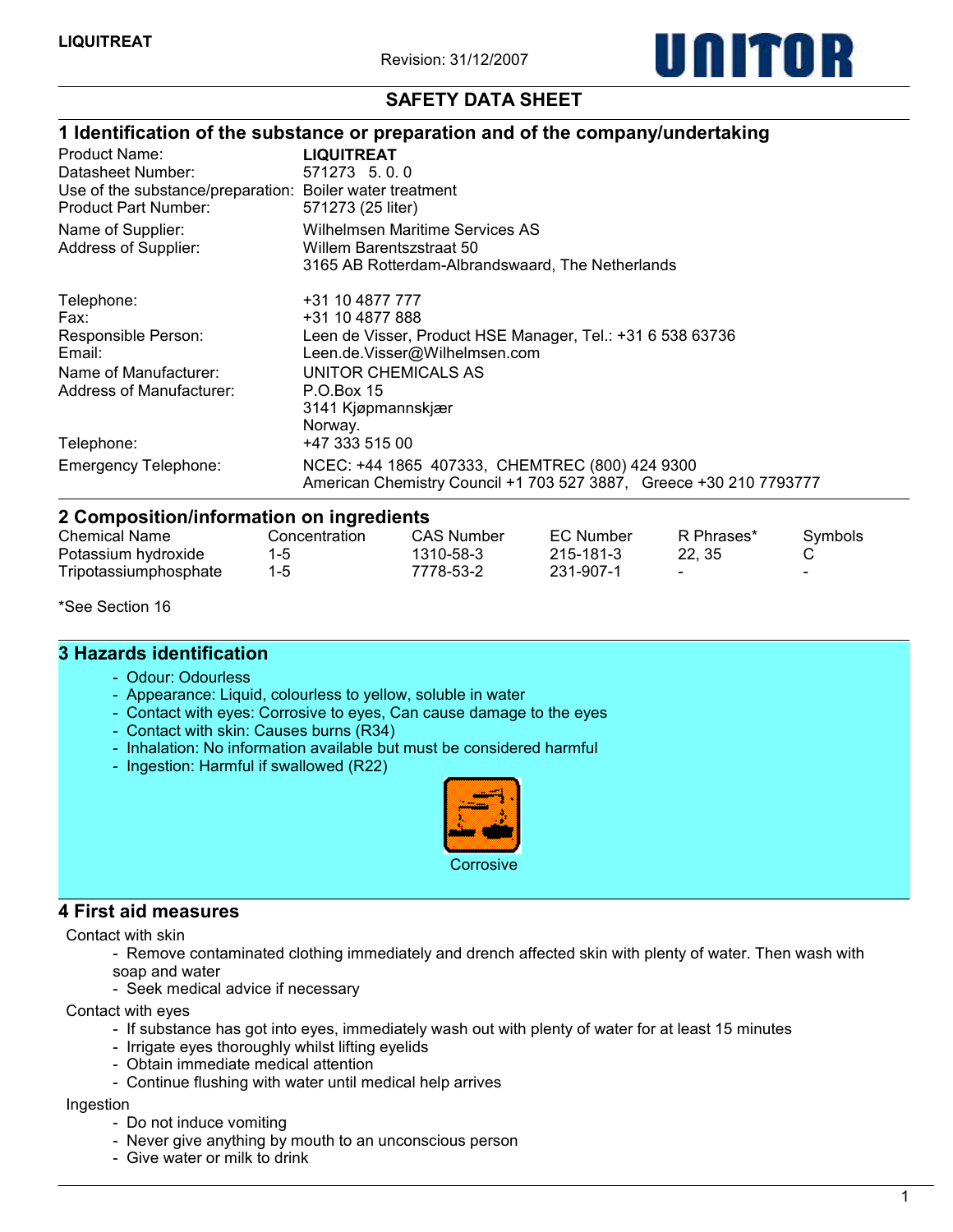

# SAFETY DATA SHEET

|                                                                      | 1 Identification of the substance or preparation and of the company/undertaking |
|----------------------------------------------------------------------|---------------------------------------------------------------------------------|
| Product Name:                                                        | <b>LIQUITREAT</b>                                                               |
| Datasheet Number:                                                    | 571273 5.0.0                                                                    |
| Use of the substance/preparation: Boiler water treatment             |                                                                                 |
| Product Part Number:                                                 | 571273 (25 liter)                                                               |
| Name of Supplier:                                                    | Wilhelmsen Maritime Services AS                                                 |
| Address of Supplier:                                                 | Willem Barentszstraat 50                                                        |
|                                                                      | 3165 AB Rotterdam-Albrandswaard, The Netherlands                                |
| Telephone:                                                           | +31 10 4877 777                                                                 |
| Fax:                                                                 | +31 10 4877 888                                                                 |
| Responsible Person:                                                  | Leen de Visser, Product HSE Manager, Tel.: +31 6 538 63736                      |
| Email:                                                               | Leen.de.Visser@Wilhelmsen.com                                                   |
| Name of Manufacturer:                                                | UNITOR CHEMICALS AS                                                             |
| Address of Manufacturer:                                             | P.O.Box 15                                                                      |
|                                                                      | 3141 Kjøpmannskjær                                                              |
|                                                                      | Norway.                                                                         |
| Telephone:                                                           | +47 333 515 00                                                                  |
| <b>Emergency Telephone:</b>                                          | NCEC: +44 1865 407333, CHEMTREC (800) 424 9300                                  |
|                                                                      | American Chemistry Council +1 703 527 3887, Greece +30 210 7793777              |
| المقابض فالمستنقص ومناسبات والقوام ومستحالة وبالمتاح القالم والمتواز |                                                                                 |

| 2 Composition/information on ingredients |               |            |           |            |                          |  |  |
|------------------------------------------|---------------|------------|-----------|------------|--------------------------|--|--|
| Chemical Name                            | Concentration | CAS Number | EC Number | R Phrases* | <b>Symbols</b>           |  |  |
| Potassium hydroxide                      | 1-5           | 1310-58-3  | 215-181-3 | 22.35      |                          |  |  |
| Tripotassiumphosphate                    | $1 - 5$       | 7778-53-2  | 231-907-1 |            | $\overline{\phantom{0}}$ |  |  |

\*See Section 16

#### 3 Hazards identification

- Odour: Odourless
- Appearance: Liquid, colourless to yellow, soluble in water
- Contact with eyes: Corrosive to eyes, Can cause damage to the eyes
- Contact with skin: Causes burns (R34)
- Inhalation: No information available but must be considered harmful
- Ingestion: Harmful if swallowed (R22)



#### 4 First aid measures

Contact with skin

- Remove contaminated clothing immediately and drench affected skin with plenty of water. Then wash with soap and water
- Seek medical advice if necessary

Contact with eyes

- If substance has got into eyes, immediately wash out with plenty of water for at least 15 minutes
- Irrigate eyes thoroughly whilst lifting eyelids
- Obtain immediate medical attention
- Continue flushing with water until medical help arrives

Ingestion

- Do not induce vomiting
- Never give anything by mouth to an unconscious person
- Give water or milk to drink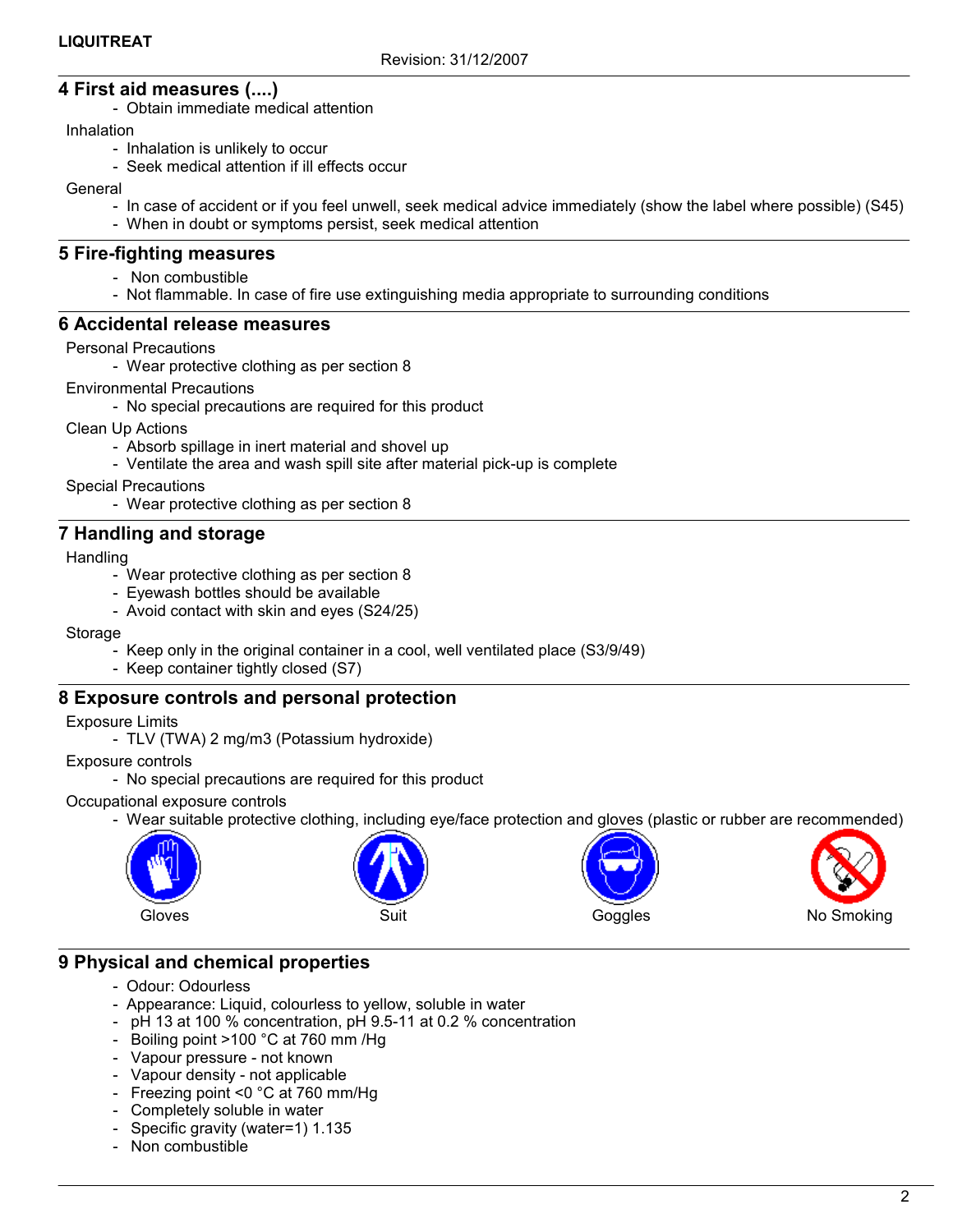# 4 First aid measures (....)

- Obtain immediate medical attention

Inhalation

- Inhalation is unlikely to occur
- Seek medical attention if ill effects occur

General

- In case of accident or if you feel unwell, seek medical advice immediately (show the label where possible) (S45)
- When in doubt or symptoms persist, seek medical attention

#### 5 Fire-fighting measures

- Non combustible
- Not flammable. In case of fire use extinguishing media appropriate to surrounding conditions

#### 6 Accidental release measures

#### Personal Precautions

- Wear protective clothing as per section 8

#### Environmental Precautions

- No special precautions are required for this product

Clean Up Actions

- Absorb spillage in inert material and shovel up
- Ventilate the area and wash spill site after material pick-up is complete
- Special Precautions
	- Wear protective clothing as per section 8

## 7 Handling and storage

**Handling** 

- Wear protective clothing as per section 8
- Eyewash bottles should be available
- Avoid contact with skin and eyes (S24/25)

#### Storage

- Keep only in the original container in a cool, well ventilated place (S3/9/49)
- Keep container tightly closed (S7)

## 8 Exposure controls and personal protection

Exposure Limits

- TLV (TWA) 2 mg/m3 (Potassium hydroxide)

- Exposure controls
	- No special precautions are required for this product

#### Occupational exposure controls

- Wear suitable protective clothing, including eye/face protection and gloves (plastic or rubber are recommended)







## 9 Physical and chemical properties

- Odour: Odourless
- Appearance: Liquid, colourless to yellow, soluble in water
- pH 13 at 100 % concentration, pH 9.5-11 at 0.2 % concentration
- Boiling point >100 °C at 760 mm /Hg
- Vapour pressure not known
- Vapour density not applicable
- Freezing point <0 °C at 760 mm/Hg
- Completely soluble in water
- Specific gravity (water=1) 1.135
- Non combustible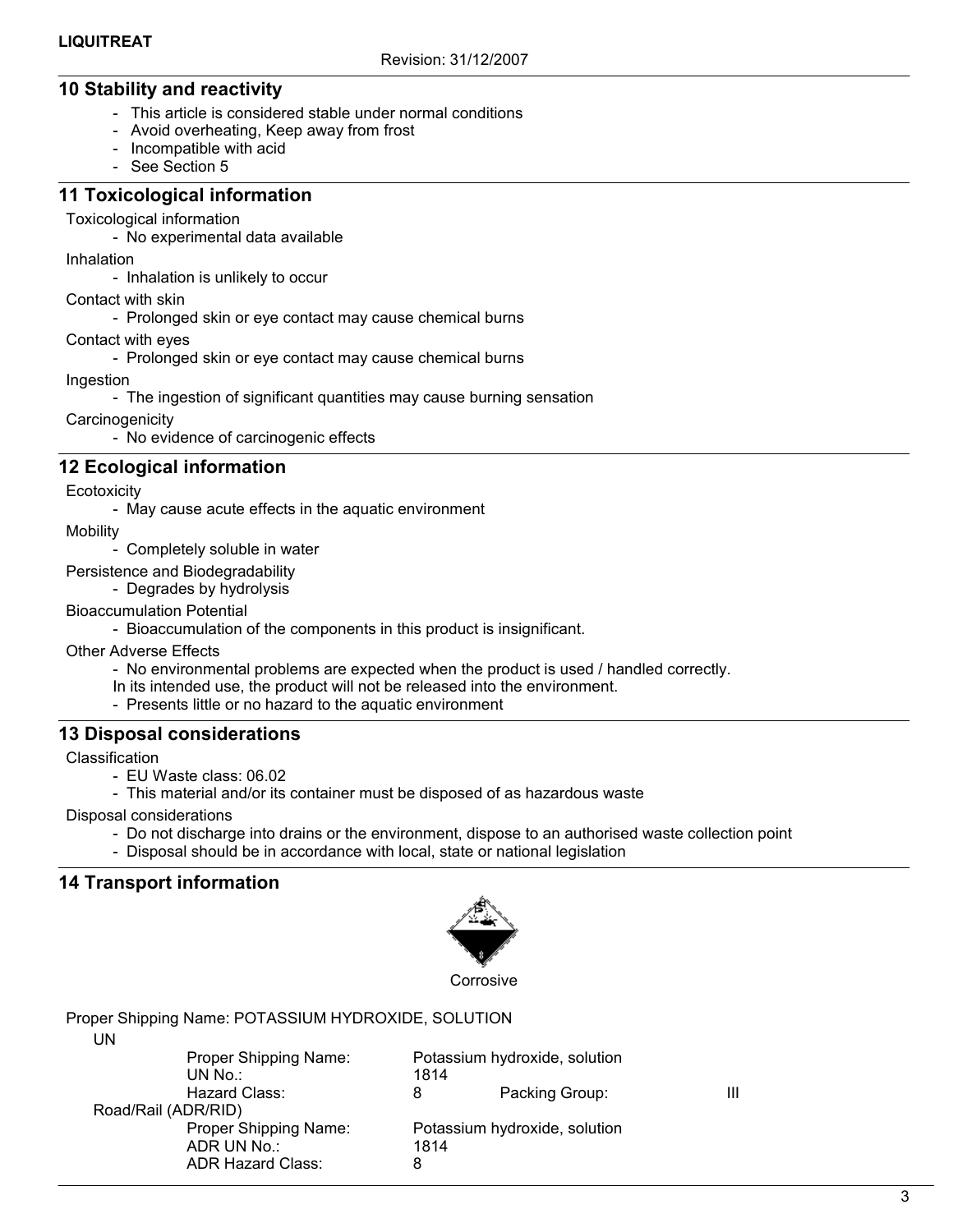# 10 Stability and reactivity

- This article is considered stable under normal conditions
- Avoid overheating, Keep away from frost
- Incompatible with acid
- See Section 5

#### 11 Toxicological information

#### Toxicological information

- No experimental data available

Inhalation

- Inhalation is unlikely to occur

Contact with skin

- Prolonged skin or eye contact may cause chemical burns

Contact with eyes

- Prolonged skin or eye contact may cause chemical burns

Ingestion

- The ingestion of significant quantities may cause burning sensation

**Carcinogenicity** 

- No evidence of carcinogenic effects

# 12 Ecological information

**Ecotoxicity** 

- May cause acute effects in the aquatic environment

**Mobility** 

- Completely soluble in water

Persistence and Biodegradability

- Degrades by hydrolysis

Bioaccumulation Potential

- Bioaccumulation of the components in this product is insignificant.

Other Adverse Effects

- No environmental problems are expected when the product is used / handled correctly.
- In its intended use, the product will not be released into the environment.
- Presents little or no hazard to the aquatic environment

## 13 Disposal considerations

Classification

- EU Waste class: 06.02

- This material and/or its container must be disposed of as hazardous waste

Disposal considerations

- Do not discharge into drains or the environment, dispose to an authorised waste collection point
- Disposal should be in accordance with local, state or national legislation

# 14 Transport information



Proper Shipping Name: POTASSIUM HYDROXIDE, SOLUTION UN

| UN                  | Proper Shipping Name:<br>UN No.:                                 | 1814      | Potassium hydroxide, solution |  |
|---------------------|------------------------------------------------------------------|-----------|-------------------------------|--|
|                     | Hazard Class:                                                    | 8         | Packing Group:                |  |
| Road/Rail (ADR/RID) |                                                                  |           |                               |  |
|                     | Proper Shipping Name:<br>ADR UN No.:<br><b>ADR Hazard Class:</b> | 1814<br>8 | Potassium hydroxide, solution |  |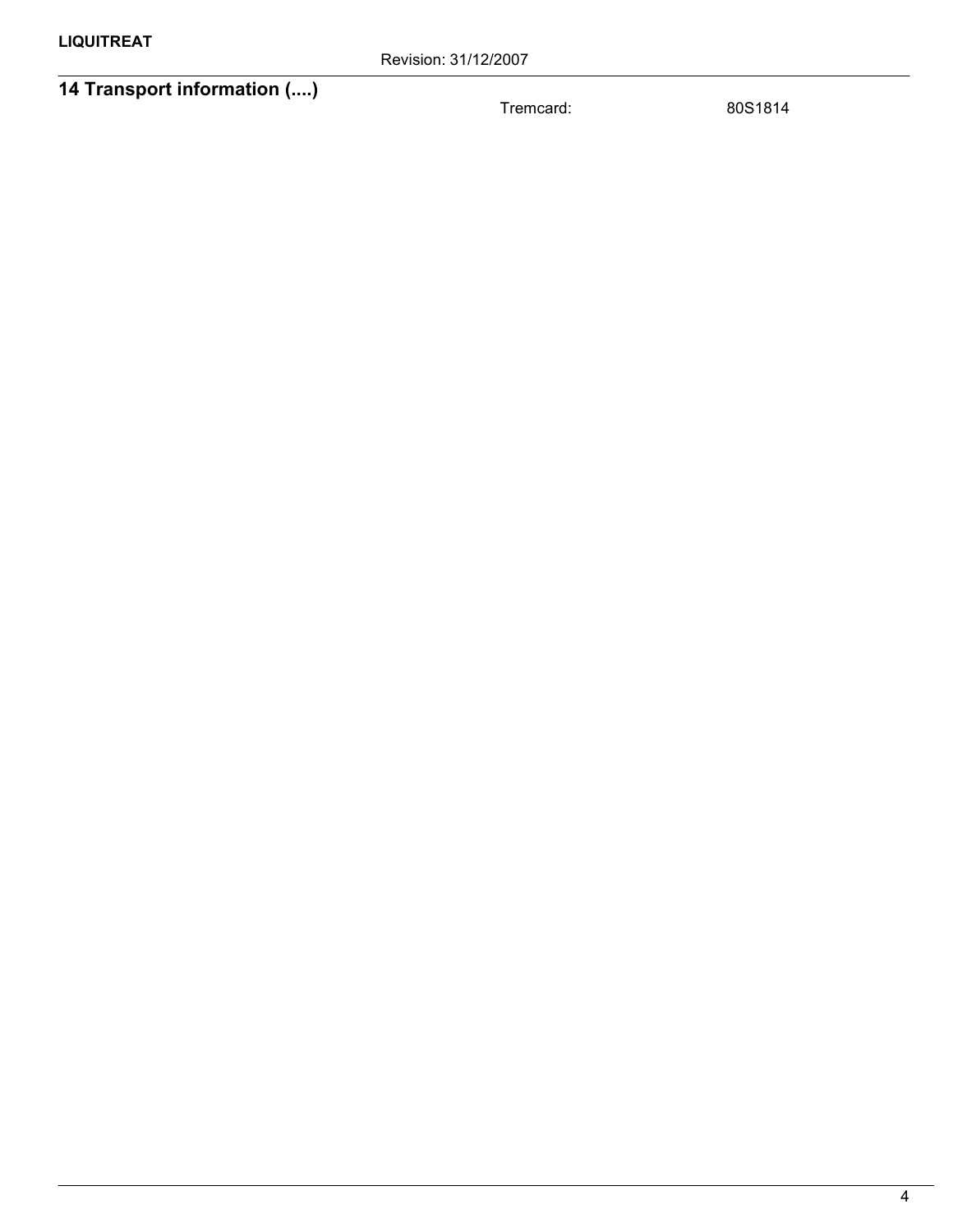# 14 Transport information (....)

Tremcard: 80S1814